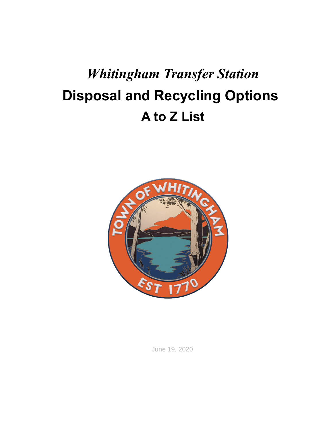## *Whitingham Transfer Station* **Disposal and Recycling Options A to Z List**



June 19, 2020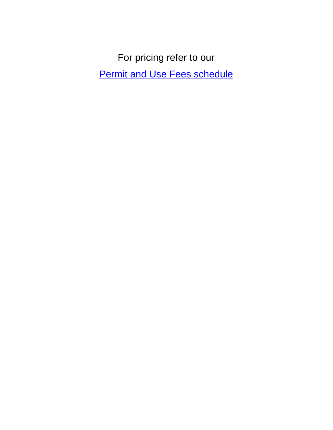For pricing refer to our **[Permit and Use Fees schedule](http://www.whitinghamvt.org/sites/default/files/Permit%20and%20Use%20Fees%20new%202020.pdf)**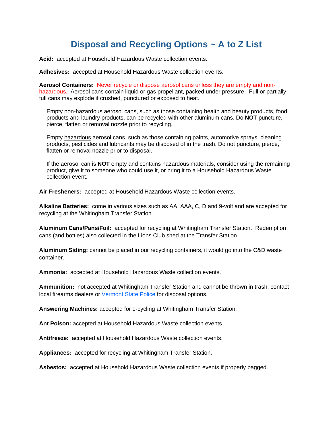## **Disposal and Recycling Options ~ A to Z List**

**Acid:** accepted at Household Hazardous Waste collection events.

**Adhesives:** accepted at Household Hazardous Waste collection events.

**Aerosol Containers:** Never recycle or dispose aerosol cans unless they are empty and nonhazardous. Aerosol cans contain liquid or gas propellant, packed under pressure. Full or partially full cans may explode if crushed, punctured or exposed to heat.

Empty non-hazardous aerosol cans, such as those containing health and beauty products, food products and laundry products, can be recycled with other aluminum cans. Do **NOT** puncture, pierce, flatten or removal nozzle prior to recycling.

Empty hazardous aerosol cans, such as those containing paints, automotive sprays, cleaning products, pesticides and lubricants may be disposed of in the trash. Do not puncture, pierce, flatten or removal nozzle prior to disposal.

If the aerosol can is **NOT** empty and contains hazardous materials, consider using the remaining product, give it to someone who could use it, or bring it to a Household [Hazardous Waste](http://www.windhamsolidwaste.org/index.php/hazardous-waste/collection-dates-locations)  [collection event.](http://www.windhamsolidwaste.org/index.php/hazardous-waste/collection-dates-locations)

**Air Fresheners:** accepted at Household Hazardous Waste collection events.

**Alkaline Batteries:** come in various sizes such as AA, AAA, C, D and 9-volt and are accepted for recycling at the Whitingham Transfer Station.

**Aluminum Cans/Pans/Foil:** accepted for recycling at Whitingham Transfer Station. Redemption cans (and bottles) also collected in the Lions Club shed at the Transfer Station.

**Aluminum Siding:** cannot be placed in our recycling containers, it would go into the C&D waste container.

**Ammonia:** accepted at Household Hazardous Waste collection events.

**Ammunition:** not accepted at Whitingham Transfer Station and cannot be thrown in trash; contact local firearms dealers or [Vermont State Police](http://www.vsp.vermont.gov/) for disposal options.

**Answering Machines:** accepted for e-cycling at Whitingham Transfer Station.

**Ant Poison:** accepted at Household Hazardous Waste collection events.

**Antifreeze:** accepted at Household Hazardous Waste collection events.

**Appliances:** accepted for recycling at Whitingham Transfer Station.

**Asbestos:** accepted at Household Hazardous Waste collection events if properly bagged.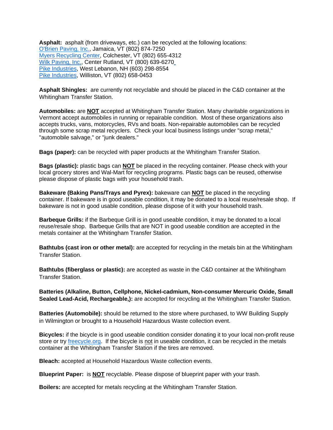**Asphalt:** asphalt (from driveways, etc.) can be recycled at the following locations: [O'Brien Paving, Inc.,](http://obrienpaving.net/) Jamaica, VT (802) 874-7250 [Myers Recycling Center,](http://www.theredcanfamily.com/MyersBrochure_PROOF.pdf) Colchester, VT (802) 655-4312 [Wilk Paving, Inc.,](http://www.wilkpaving.com/) Center Rutland, VT (800) 639-627[0](http://www.wilkpaving.com/) [Pike Industries,](http://www.pikeindustries.com/) West Lebanon, NH (603) 298-8554 [Pike Industries,](http://www.pikeindustries.com/) Williston, VT (802) 658-0453

**Asphalt Shingles:** are currently not recyclable and should be placed in the C&D container at the Whitingham Transfer Station.

**Automobiles:** are **NOT** accepted at Whitingham Transfer Station. Many charitable organizations in Vermont accept automobiles in running or repairable condition. Most of these organizations also accepts trucks, vans, motorcycles, RVs and boats. Non-repairable automobiles can be recycled through some scrap metal recyclers. Check your local business listings under "scrap metal," "automobile salvage," or "junk dealers."

**Bags (paper):** can be recycled with paper products at the Whitingham Transfer Station.

**Bags (plastic):** plastic bags can **NOT** be placed in the recycling container. Please check with your local grocery stores and Wal-Mart for recycling programs. Plastic bags can be reused, otherwise please dispose of plastic bags with your household trash.

**Bakeware (Baking Pans/Trays and Pyrex):** bakeware can **NOT** be placed in the recycling container. If bakeware is in good useable condition, it may be donated to a local reuse/resale shop. If bakeware is not in good usable condition, please dispose of it with your household trash.

**Barbeque Grills:** if the Barbeque Grill is in good useable condition, it may be donated to a local reuse/resale shop. Barbeque Grills that are NOT in good useable condition are accepted in the metals container at the Whitingham Transfer Station.

**Bathtubs (cast iron or other metal):** are accepted for recycling in the metals bin at the Whitingham Transfer Station.

**Bathtubs (fiberglass or plastic):** are accepted as waste in the C&D container at the Whitingham Transfer Station.

**Batteries (Alkaline, Button, Cellphone, Nickel-cadmium, Non-consumer Mercuric Oxide, Small Sealed Lead-Acid, Rechargeable,):** are accepted for recycling at the Whitingham Transfer Station.

**Batteries (Automobile):** should be returned to the store where purchased, to WW Building Supply in Wilmington or brought to a Household Hazardous Waste collection event.

**Bicycles:** if the bicycle is in good useable condition consider donating it to your local non-profit reuse store or try [freecycle.org.](https://www.freecycle.org/) If the bicycle is not in useable condition, it can be recycled in the metals container at the Whitingham Transfer Station if the tires are removed.

**Bleach:** accepted at Household Hazardous Waste collection events.

**Blueprint Paper:** is **NOT** recyclable. Please dispose of blueprint paper with your trash.

**Boilers:** are accepted for metals recycling at the Whitingham Transfer Station.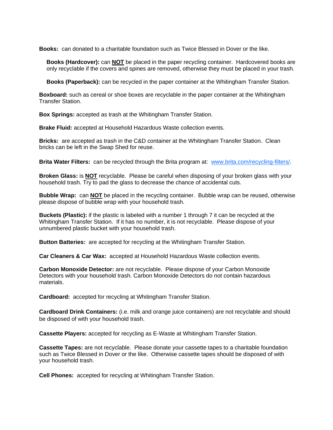**Books:** can donated to a charitable foundation such as Twice Blessed in Dover or the like.

**Books (Hardcover):** can **NOT** be placed in the paper recycling container. Hardcovered books are only recyclable if the covers and spines are removed, otherwise they must be placed in your trash.

**Books (Paperback):** can be recycled in the paper container at the Whitingham Transfer Station.

**Boxboard:** such as cereal or shoe boxes are recyclable in the paper container at the Whitingham Transfer Station.

**Box Springs:** accepted as trash at the Whitingham Transfer Station.

**Brake Fluid:** accepted at Household Hazardous Waste collection events.

**Bricks:** are accepted as trash in the C&D container at the Whitingham Transfer Station. Clean bricks can be left in the Swap Shed for reuse.

**Brita Water Filters:** can be recycled through the Brita program at: [www.brita.com/recycling-filters/.](http://www.brita.com/recycling-filters/)

**Broken Glass:** is **NOT** recyclable. Please be careful when disposing of your broken glass with your household trash. Try to pad the glass to decrease the chance of accidental cuts.

**Bubble Wrap:** can **NOT** be placed in the recycling container. Bubble wrap can be reused, otherwise please dispose of bubble wrap with your household trash.

**Buckets (Plastic):** if the plastic is labeled with a number 1 through 7 it can be recycled at the Whitingham Transfer Station. If it has no number, it is not recyclable. Please dispose of your unnumbered plastic bucket with your household trash.

**Button Batteries:** are accepted for recycling at the Whitingham Transfer Station.

**Car Cleaners & Car Wax:** accepted at Household Hazardous Waste collection events.

**Carbon Monoxide Detector:** are not recyclable. Please dispose of your Carbon Monoxide Detectors with your household trash. Carbon Monoxide Detectors do not contain hazardous materials.

**Cardboard:** accepted for recycling at Whitingham Transfer Station.

**Cardboard Drink Containers:** (i.e. milk and orange juice containers) are not recyclable and should be disposed of with your household trash.

**Cassette Players:** accepted for recycling as E-Waste at Whitingham Transfer Station.

**Cassette Tapes:** are not recyclable. Please donate your cassette tapes to a charitable foundation such as Twice Blessed in Dover or the like. Otherwise cassette tapes should be disposed of with your household trash.

**Cell Phones:** accepted for recycling at Whitingham Transfer Station.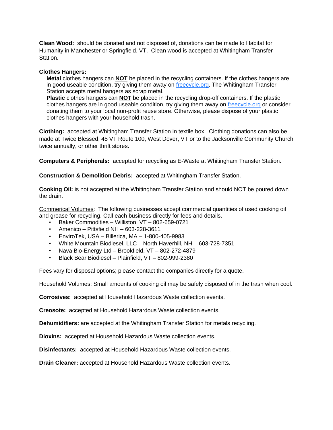**Clean Wood:** should be donated and not disposed of, donations can be made to Habitat for Humanity in Manchester or Springfield, VT. Clean wood is accepted at Whitingham Transfer Station.

## **Clothes Hangers:**

**Metal** clothes hangers can **NOT** be placed in the recycling containers. If the clothes hangers are in good useable condition, try giving them away on [freecycle.org.](https://www.freecycle.org/) The Whitingham Transfer Station accepts metal hangers as scrap metal.

**Plastic** clothes hangers can **NOT** be placed in the recycling drop-off containers. If the plastic clothes hangers are in good useable condition, try giving them away on [freecycle.org](https://www.freecycle.org/) or consider donating them to your local non-profit reuse store. Otherwise, please dispose of your plastic clothes hangers with your household trash.

**Clothing:** accepted at Whitingham Transfer Station in textile box. Clothing donations can also be made at Twice Blessed, 45 VT Route 100, West Dover, VT or to the Jacksonville Community Church twice annually, or other thrift stores.

**Computers & Peripherals:** accepted for recycling as E-Waste at Whitingham Transfer Station.

**Construction & Demolition Debris:** accepted at Whitingham Transfer Station.

**Cooking Oil:** is not accepted at the Whitingham Transfer Station and should NOT be poured down the drain.

Commerical Volumes: The following businesses accept commercial quantities of used cooking oil and grease for recycling. Call each business directly for fees and details.

- Baker Commodities Williston, VT 802-659-0721
- Amenico Pittsfield NH 603-228-3611
- EnviroTek, USA Billerica, MA 1-800-405-9983
- White Mountain Biodiesel, LLC North Haverhill, NH 603-728-7351
- Nava Bio-Energy Ltd Brookfield, VT 802-272-4879
- Black Bear Biodiesel Plainfield, VT 802-999-2380

Fees vary for disposal options; please contact the companies directly for a quote.

Household Volumes: Small amounts of cooking oil may be safely disposed of in the trash when cool.

**Corrosives:** accepted at Household Hazardous Waste collection events.

**Creosote:** accepted at Household Hazardous Waste collection events.

**Dehumidifiers:** are accepted at the Whitingham Transfer Station for metals recycling.

**Dioxins:** accepted at Household Hazardous Waste collection events.

**Disinfectants:** accepted at Household Hazardous Waste collection events.

**Drain Cleaner:** accepted at Household Hazardous Waste collection events.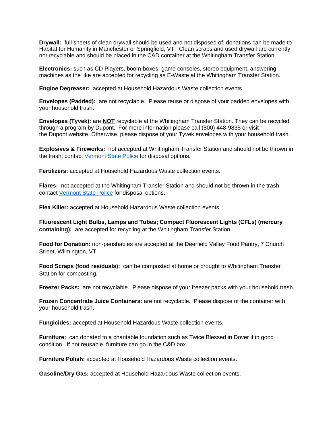**Drywall:** full sheets of clean drywall should be used and not disposed of, donations can be made to Habitat for Humanity in Manchester or Springfield, VT. Clean scraps and used drywall are currently not recyclable and should be placed in the C&D container at the Whitingham Transfer Station.

**Electronics:** such as CD Players, boom-boxes, game consoles, stereo equipment, answering machines as the like are accepted for recycling as E-Waste at the Whitingham Transfer Station.

**Engine Degreaser:** accepted at Household Hazardous Waste collection events.

**Envelopes (Padded):** are not recyclable. Please reuse or dispose of your padded envelopes with your household trash.

**Envelopes (Tyvek):** are **NOT** recyclable at the Whitingham Transfer Station. They can be recycled through a program by Dupont. For more information please call (800) 448-9835 or visit the [Dupont](http://www2.dupont.com/Tyvek/en_US/sales_support/recycling.html) website. Otherwise, please dispose of your Tyvek envelopes with your household trash.

**Explosives & Fireworks:** not accepted at Whitingham Transfer Station and should not be thrown in the trash; contact [Vermont State Police](http://www.vsp.vermont.gov/) for disposal options.

**Fertilizers:** accepted at Household Hazardous Waste collection events.

**Flares:** not accepted at the Whitingham Transfer Station and should not be thrown in the trash, contact [Vermont State Police](http://www.vsp.vermont.gov/) for disposal options.

**Flea Killer:** accepted at Household Hazardous Waste collection events.

**Fluorescent Light Bulbs, Lamps and Tubes; Compact Fluorescent Lights (CFLs) (mercury containing):** are accepted for recycling at the Whitingham Transfer Station.

**Food for Donation:** non-perishables are accepted at the Deerfield Valley Food Pantry, 7 Church Street, Wilmington, VT.

**Food Scraps (food residuals):** can be composted at home or brought to Whitingham Transfer Station for composting.

**Freezer Packs:** are not recyclable. Please dispose of your freezer packs with your household trash.

**Frozen Concentrate Juice Containers:** are not recyclable. Please dispose of the container with your household trash.

**Fungicides:** accepted at Household Hazardous Waste collection events.

**Furniture:** can donated to a charitable foundation such as Twice Blessed in Dover if in good condition. If not reusable, furniture can go in the C&D box.

**Furniture Polish:** accepted at Household Hazardous Waste collection events.

**Gasoline/Dry Gas:** accepted at Household Hazardous Waste collection events.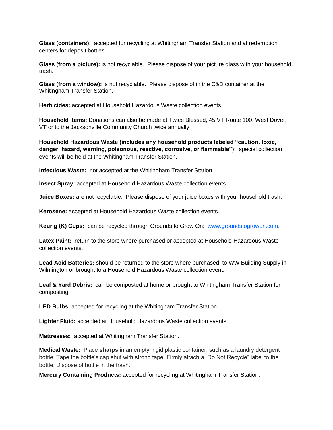**Glass (containers):** accepted for recycling at Whitingham Transfer Station and at redemption centers for deposit bottles.

**Glass (from a picture):** is not recyclable. Please dispose of your picture glass with your household trash.

**Glass (from a window):** is not recyclable. Please dispose of in the C&D container at the Whitingham Transfer Station.

**Herbicides:** accepted at Household Hazardous Waste collection events.

**Household Items:** Donations can also be made at Twice Blessed, 45 VT Route 100, West Dover, VT or to the Jacksonville Community Church twice annually.

**Household Hazardous Waste (includes any household products labeled "caution, toxic, danger, hazard, warning, poisonous, reactive, corrosive, or flammable"):** special collection events will be held at the Whitingham Transfer Station.

**Infectious Waste:** not accepted at the Whitingham Transfer Station.

**Insect Spray:** accepted at Household Hazardous Waste collection events.

**Juice Boxes:** are not recyclable. Please dispose of your juice boxes with your household trash.

**Kerosene:** accepted at Household Hazardous Waste collection events.

**Keurig (K) Cups:** can be recycled through Grounds to Grow On: [www.groundstogrowon.com.](http://www.groundstogrowon.com/)

**Latex Paint:** return to the store where purchased or accepted at Household Hazardous Waste collection events.

**Lead Acid Batteries:** should be returned to the store where purchased, to WW Building Supply in Wilmington or brought to a Household Hazardous Waste collection event.

**Leaf & Yard Debris:** can be composted at home or brought to Whitingham Transfer Station for composting.

**LED Bulbs:** accepted for recycling at the Whitingham Transfer Station.

**Lighter Fluid:** accepted at Household Hazardous Waste collection events.

**Mattresses:** accepted at Whitingham Transfer Station.

**Medical Waste:** Place **sharps** in an empty, rigid plastic container, such as a laundry detergent bottle. Tape the bottle's cap shut with strong tape. Firmly attach a "Do Not Recycle" label to the bottle. Dispose of bottle in the trash.

**Mercury Containing Products:** accepted for recycling at Whitingham Transfer Station.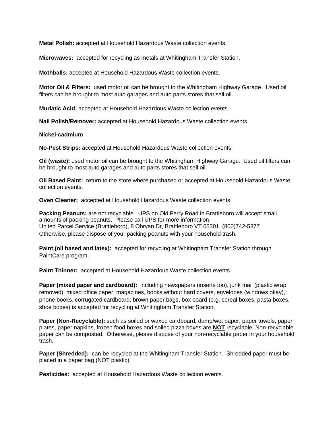**Metal Polish:** accepted at Household Hazardous Waste collection events.

**Microwaves:** accepted for recycling as metals at Whitingham Transfer Station.

**Mothballs:** accepted at Household Hazardous Waste collection events.

**Motor Oil & Filters:** used motor oil can be brought to the Whitingham Highway Garage. Used oil filters can be brought to most auto garages and auto parts stores that sell oil.

**Muriatic Acid:** accepted at Household Hazardous Waste collection events.

**Nail Polish/Remover:** accepted at Household Hazardous Waste collection events.

## **Nickel-cadmium**

**No-Pest Strips:** accepted at Household Hazardous Waste collection events.

**Oil (waste):** used motor oil can be brought to the Whitingham Highway Garage. Used oil filters can be brought to most auto garages and auto parts stores that sell oil.

**Oil Based Paint:** return to the store where purchased or accepted at Household Hazardous Waste collection events.

**Oven Cleaner:** accepted at Household Hazardous Waste collection events.

**Packing Peanuts:** are not recyclable. UPS on Old Ferry Road in Brattleboro will accept small amounts of packing peanuts. Please call UPS for more information. United Parcel Service (Brattleboro), 8 Obryan Dr, Brattleboro VT 05301 (800)742-5877 Otherwise, please dispose of your packing peanuts with your household trash.

**Paint (oil based and latex):** accepted for recycling at Whitingham Transfer Station through PaintCare program.

**Paint Thinner:** accepted at Household Hazardous Waste collection events.

**Paper (mixed paper and cardboard):** including newspapers (inserts too), junk mail (plastic wrap removed), mixed office paper, magazines, books without hard covers, envelopes (windows okay), phone books, corrugated cardboard, brown paper bags, box board (e.g. cereal boxes, pasta boxes, shoe boxes) is accepted for recycling at Whitingham Transfer Station.

**Paper (Non-Recyclable):** such as soiled or waxed cardboard, damp/wet paper, paper towels, paper plates, paper napkins, frozen food boxes and soiled pizza boxes are **NOT** recyclable. Non-recyclable paper can be composted. Otherwise, please dispose of your non-recyclable paper in your household trash.

**Paper (Shredded):** can be recycled at the Whitingham Transfer Station. Shredded paper must be placed in a paper bag (NOT plastic).

**Pesticides:** accepted at Household Hazardous Waste collection events.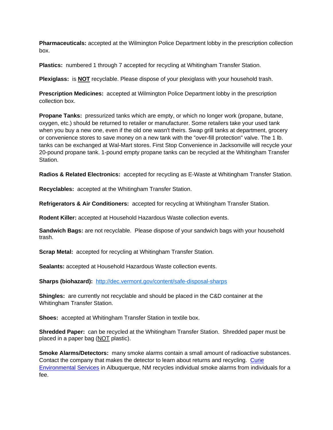**Pharmaceuticals:** accepted at the Wilmington Police Department lobby in the prescription collection box.

**Plastics:** numbered 1 through 7 accepted for recycling at Whitingham Transfer Station.

**Plexiglass:** is **NOT** recyclable. Please dispose of your plexiglass with your household trash.

**Prescription Medicines:** accepted at Wilmington Police Department lobby in the prescription collection box.

**Propane Tanks:** pressurized tanks which are empty, or which no longer work (propane, butane, oxygen, etc.) should be returned to retailer or manufacturer. Some retailers take your used tank when you buy a new one, even if the old one wasn't theirs. Swap grill tanks at department, grocery or convenience stores to save money on a new tank with the "over-fill protection" valve. The 1 lb. tanks can be exchanged at Wal-Mart stores. First Stop Convenience in Jacksonville will recycle your 20-pound propane tank. 1-pound empty propane tanks can be recycled at the Whitingham Transfer Station.

**Radios & Related Electronics:** accepted for recycling as E-Waste at Whitingham Transfer Station.

**Recyclables:** accepted at the Whitingham Transfer Station.

**Refrigerators & Air Conditioners:** accepted for recycling at Whitingham Transfer Station.

**Rodent Killer:** accepted at Household Hazardous Waste collection events.

**Sandwich Bags:** are not recyclable. Please dispose of your sandwich bags with your household trash.

**Scrap Metal:** accepted for recycling at Whitingham Transfer Station.

**Sealants:** accepted at Household Hazardous Waste collection events.

**Sharps (biohazard):** <http://dec.vermont.gov/content/safe-disposal-sharps>

**Shingles:** are currently not recyclable and should be placed in the C&D container at the Whitingham Transfer Station.

**Shoes:** accepted at Whitingham Transfer Station in textile box.

**Shredded Paper:** can be recycled at the Whitingham Transfer Station. Shredded paper must be placed in a paper bag (NOT plastic).

**Smoke Alarms/Detectors:** many smoke alarms contain a small amount of radioactive substances. Contact the company that makes the detector to learn about returns and recycling. [Curie](https://www.curieservices.com/smoke-alarm-recycling/)  [Environmental Services](https://www.curieservices.com/smoke-alarm-recycling/) in Albuquerque, NM recycles individual smoke alarms from individuals for a fee.